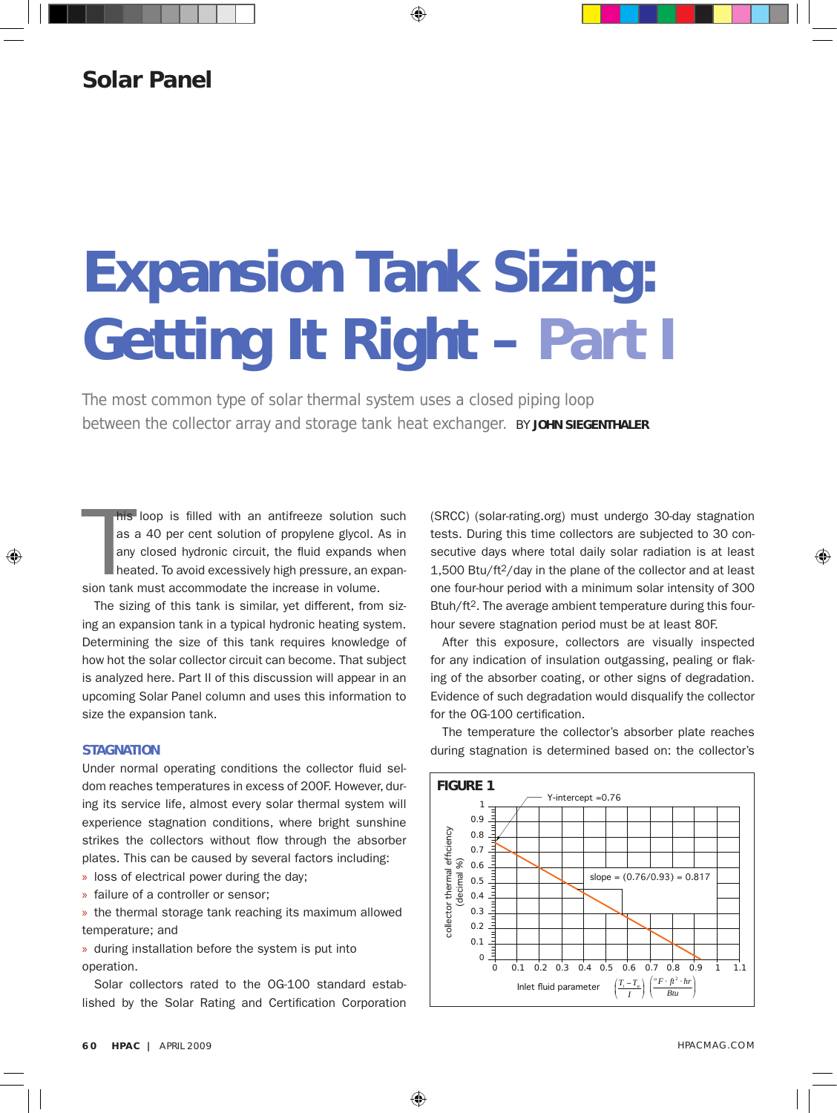## **Solar Panel**

# **Expansion Tank Sizing: Getting It Right – Part I**

The most common type of solar thermal system uses a closed piping loop between the collector array and storage tank heat exchanger. **BY JOHN SIEGENTHALER** 

his loop is filled with an antifreeze solution s<br>as a 40 per cent solution of propylene glycol. A<br>any closed hydronic circuit, the fluid expands w<br>heated. To avoid excessively high pressure, an ex<br>sion tank must accommodat his loop is filled with an antifreeze solution such as a 40 per cent solution of propylene glycol. As in any closed hydronic circuit, the fluid expands when heated. To avoid excessively high pressure, an expan-

The sizing of this tank is similar, yet different, from sizing an expansion tank in a typical hydronic heating system. Determining the size of this tank requires knowledge of how hot the solar collector circuit can become. That subject is analyzed here. Part II of this discussion will appear in an upcoming Solar Panel column and uses this information to size the expansion tank.

#### **STAGNATION**

Under normal operating conditions the collector fluid seldom reaches temperatures in excess of 200F. However, during its service life, almost every solar thermal system will experience stagnation conditions, where bright sunshine strikes the collectors without flow through the absorber plates. This can be caused by several factors including:

- » loss of electrical power during the day;
- » failure of a controller or sensor;

» the thermal storage tank reaching its maximum allowed temperature; and

» during installation before the system is put into operation.

Solar collectors rated to the OG-100 standard established by the Solar Rating and Certification Corporation (SRCC) (solar-rating.org) must undergo 30-day stagnation tests. During this time collectors are subjected to 30 consecutive days where total daily solar radiation is at least  $1,500$  Btu/ft<sup>2</sup>/day in the plane of the collector and at least one four-hour period with a minimum solar intensity of 300 Btuh/ft<sup>2</sup>. The average ambient temperature during this fourhour severe stagnation period must be at least 80F.

After this exposure, collectors are visually inspected for any indication of insulation outgassing, pealing or flaking of the absorber coating, or other signs of degradation. Evidence of such degradation would disqualify the collector for the OG-100 certification.

The temperature the collector's absorber plate reaches during stagnation is determined based on: the collector's

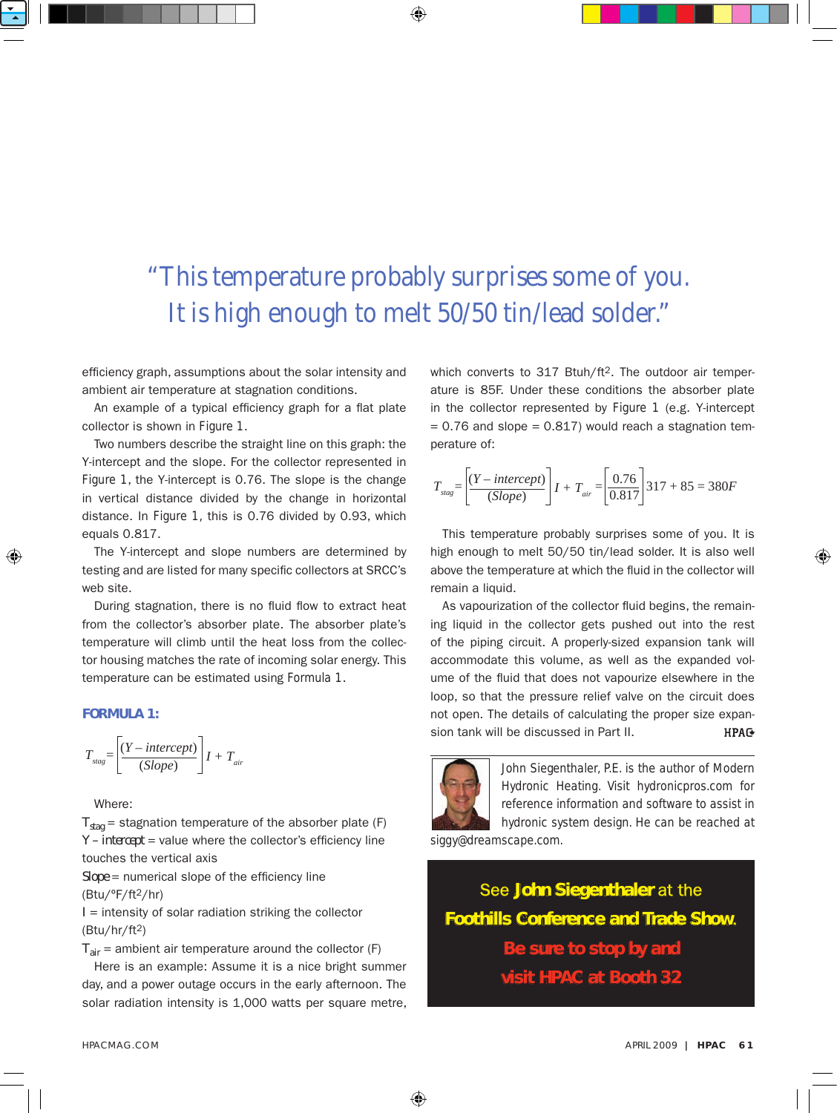## "This temperature probably surprises some of you. It is high enough to melt 50/50 tin/lead solder."

efficiency graph, assumptions about the solar intensity and ambient air temperature at stagnation conditions.

An example of a typical efficiency graph for a flat plate collector is shown in *Figure 1*.

Two numbers describe the straight line on this graph: the Y-intercept and the slope. For the collector represented in *Figure 1*, the Y-intercept is 0.76. The slope is the change in vertical distance divided by the change in horizontal distance. In *Figure 1,* this is 0.76 divided by 0.93, which equals 0.817.

The Y-intercept and slope numbers are determined by testing and are listed for many specific collectors at SRCC's web site.

During stagnation, there is no fluid flow to extract heat from the collector's absorber plate. The absorber plate's temperature will climb until the heat loss from the collector housing matches the rate of incoming solar energy. This temperature can be estimated using *Formula 1*.

#### Formula 1:

$$
T_{\text{stag}} = \left[ \frac{(Y - \text{intercept})}{(Slope)} \right] I + T_{\text{air}}
$$

Where:

 $T_{stag}$  = stagnation temperature of the absorber plate (F)  $I_{\text{stag}}$  = stagnation temperature of the absorber plate ( $r$ ,  $Y$  – *intercept* = value where the collector's efficiency line touches the vertical axis

*Slope* = numerical slope of the efficiency line (Btu/ºF/ft2/hr)

 $I =$  intensity of solar radiation striking the collector (Btu/hr/ft2)

 $T_{air}$  = ambient air temperature around the collector (F)

Here is an example: Assume it is a nice bright summer day, and a power outage occurs in the early afternoon. The solar radiation intensity is 1,000 watts per square metre,

which converts to 317 Btuh/ft<sup>2</sup>. The outdoor air temperature is 85F. Under these conditions the absorber plate in the collector represented by *Figure 1* (e.g. Y-intercept *<sup>=</sup>* (*<sup>Y</sup> – intercept*) an the collector represented by *rigule 1* (e.g. 1-intercept<br>= 0.76 and slope = 0.817) would reach a stagnation temperature of:

$$
T_{\text{stag}} = \left[ \frac{(Y - \text{intercept})}{(Slope)} \right] I + T_{\text{air}} = \left[ \frac{0.76}{0.817} \right] 317 + 85 = 380F
$$

This temperature probably surprises some of you. It is high enough to melt 50/50 tin/lead solder. It is also well above the temperature at which the fluid in the collector will remain a liquid.

As vapourization of the collector fluid begins, the remaining liquid in the collector gets pushed out into the rest of the piping circuit. A properly-sized expansion tank will accommodate this volume, as well as the expanded volume of the fluid that does not vapourize elsewhere in the loop, so that the pressure relief valve on the circuit does not open. The details of calculating the proper size expansion tank will be discussed in Part II. **HPAG** 



*John Siegenthaler, P.E. is the author of Modern Hydronic Heating. Visit hydronicpros.com for reference information and software to assist in hydronic system design. He can be reached at*

*siggy@dreamscape.com.*

See John Siegenthaler at the Foothills Conference and Trade Show. Be sure to stop by and visit HPaC at Booth 32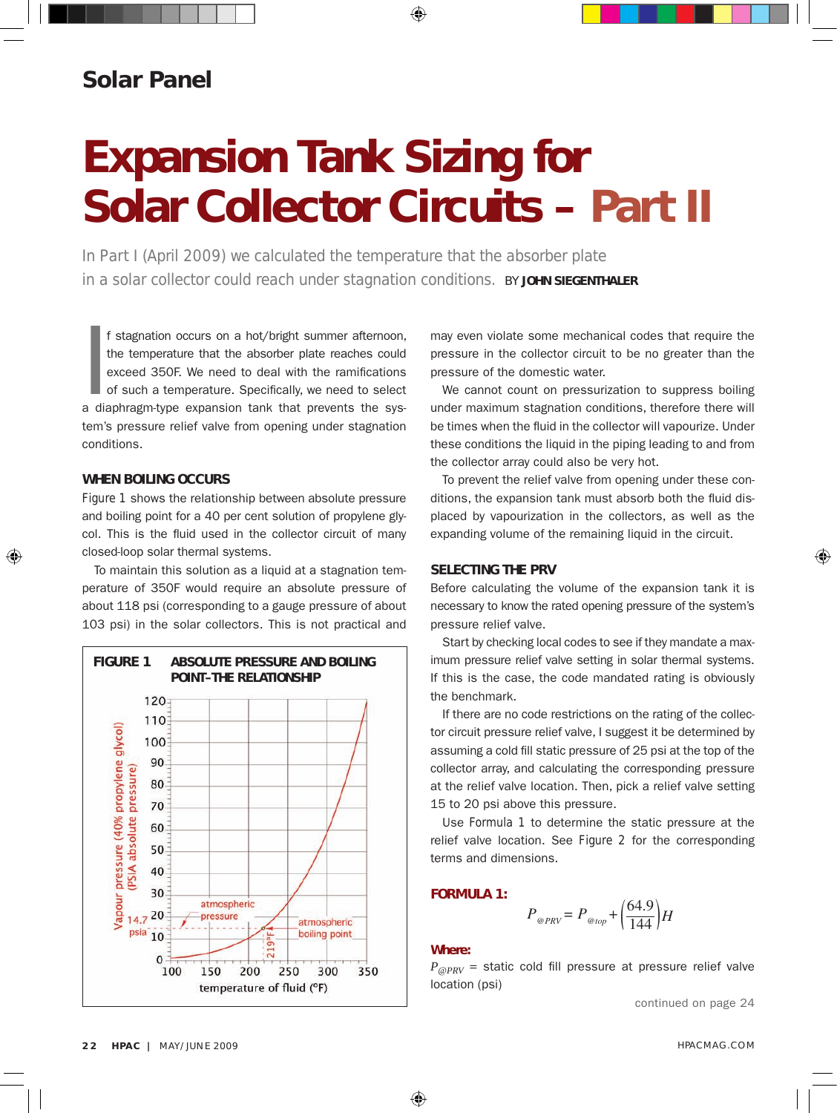## **Solar Panel**

## Expansion Tank Sizing for Solar Collector Circuits – *Part II*

In Part I (April 2009) we calculated the temperature that the absorber plate in a solar collector could reach under stagnation conditions. *BY* JOHN SIEGENTHaLER

In the temperature that the absorber plate reaches could exceed 350F. We need to deal with the ramifications of such a temperature. Specifically, we need to select a diaphragm-type expansion tank that prevents the sysf stagnation occurs on a hot/bright summer afternoon, the temperature that the absorber plate reaches could exceed 350F. We need to deal with the ramifications of such a temperature. Specifically, we need to select tem's pressure relief valve from opening under stagnation conditions.

#### WHEN BOILING OCCURS

*Figure 1* shows the relationship between absolute pressure and boiling point for a 40 per cent solution of propylene glycol. This is the fluid used in the collector circuit of many closed-loop solar thermal systems.

To maintain this solution as a liquid at a stagnation temperature of 350F would require an absolute pressure of about 118 psi (corresponding to a gauge pressure of about 103 psi) in the solar collectors. This is not practical and



may even violate some mechanical codes that require the pressure in the collector circuit to be no greater than the pressure of the domestic water.

We cannot count on pressurization to suppress boiling under maximum stagnation conditions, therefore there will be times when the fluid in the collector will vapourize. Under these conditions the liquid in the piping leading to and from the collector array could also be very hot.

To prevent the relief valve from opening under these conditions, the expansion tank must absorb both the fluid displaced by vapourization in the collectors, as well as the expanding volume of the remaining liquid in the circuit.

#### SELECTING THE PRV

Before calculating the volume of the expansion tank it is necessary to know the rated opening pressure of the system's pressure relief valve.

Start by checking local codes to see if they mandate a maximum pressure relief valve setting in solar thermal systems. If this is the case, the code mandated rating is obviously the benchmark.

If there are no code restrictions on the rating of the collector circuit pressure relief valve, I suggest it be determined by assuming a cold fill static pressure of 25 psi at the top of the collector array, and calculating the corresponding pressure at the relief valve location. Then, pick a relief valve setting 15 to 20 psi above this pressure.

Use *Formula 1* to determine the static pressure at the relief valve location. See *Figure 2* for the corresponding terms and dimensions.

#### FORmULa 1:

$$
P_{\text{QPRV}} = P_{\text{Qtop}} + \left(\frac{64.9}{144}\right)H
$$

#### Where:

 $P_{@PRV}$  = static cold fill pressure at pressure relief valve<br>location (psi) location (psi)

continued on page 24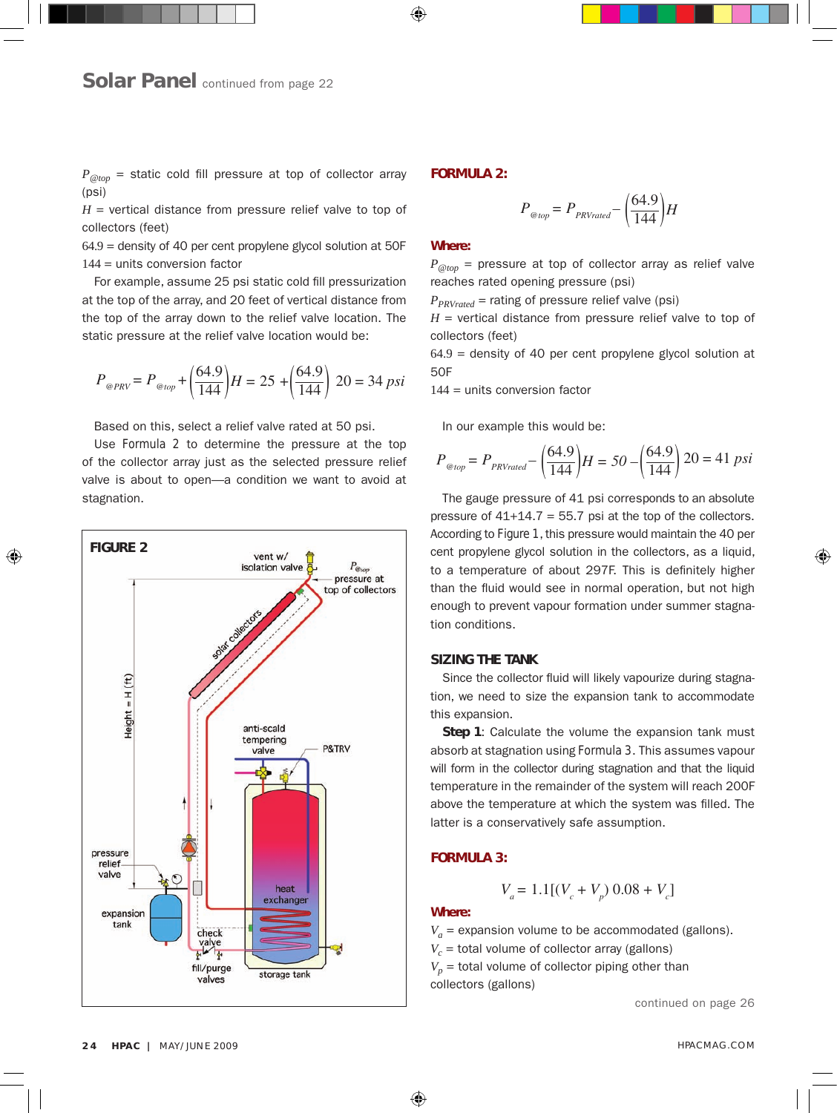$P_{@ton}$  = static cold fill pressure at top of collector array (psi)

 $H =$  vertical distance from pressure relief valve to top of collectors (feet)

64.9 = density of 40 per cent propylene glycol solution at 50F 144 = units conversion factor

For example, assume 25 psi static cold fill pressurization at the top of the array, and 20 feet of vertical distance from the top of the array down to the relief valve location. The static pressure at the relief valve location would be: static pressure at the relief valve location would be:

$$
P_{\text{QPRV}} = P_{\text{Qtop}} + \left(\frac{64.9}{144}\right)H = 25 + \left(\frac{64.9}{144}\right)20 = 34 \text{ psi}
$$

Based on this, select a relief valve rated at 50 psi.<br>Here Fermals 2 to determine the present at the th

*Pased* on this, select a refler valve rated at 50 psi.<br>Use *Formula* 2 to determine the pressure at the top *P@top= PPRVrated* stagnation. <sup>144</sup> *–* ( ( 64.9 of the collector array just as the selected pressure relief valve is about to open—a condition we want to avoid at



#### FORmULa 2:

$$
P_{\text{@top}} = P_{\text{PRVrated}} - \left(\frac{64.9}{144}\right)H
$$

#### Where:

 $P_{@top}$  = pressure at top of collector array as relief valve<br>reaches rated opening pressure (psi) *e*<br>
reaches rated opening pressure (psi)<br> *P*<sub>PRV</sub> *P* - rating of pressure relief values

 $P_{PRVrated}$  = rating of pressure relief valve (psi)

*H* = vertical distance from pressure relief valve to top of collectors (feet) *P@PRV= P@top*

collectors (feet)<br>64.9 = density of 40 per cent propylene glycol solution at<br>50F 50F

144 = units conversion factor 64.9 <sup>144</sup> *–* ( ( *P@top= PPRVrated*

In our example this would be:

$$
P_{\text{0top}} = P_{\text{PRVrated}} - \left(\frac{64.9}{144}\right)H = 50 - \left(\frac{64.9}{144}\right)20 = 41 \text{ psi}
$$

The gauge pressure of 41 psi corresponds to an absolute<br>pressure of 41+14.7 = 55.7 psi at the top of the collectors. The gauge pressure of 41 psi corresponds to an absolute cent propylene glycol solution in the collectors, as a liquid,<br>to a temperature of about 297F. This is definitely higher cent propylene giycol solution in the collectors, as a liquid,<br>to a temperature of about 297F. This is definitely higher enough to prevent vapour formation under summer stagna-<br>tion conditions. According to *Figure 1*,this pressure would maintain the 40 per than the fluid would see in normal operation, but not high tion conditions.

#### SIZING THE TANK

*i* **particular** tion, we need to size the expansion tank to accommodate this expansion. **ZING THE TANK**<br>Since the collector fluid will likely vapourize during stagnathis expansion. is expansion.<br>**Step 1**: Calculate the volume the expansion tank must

absorb at stagnation using *Formula 3*. This assumes vapour<br>will form in the collector during stagnation and that the liquid absorb at stagnation using *Formula 3*. This assumes vapour<br>will form in the collector during stagnation and that the liquid remperature in the remainder of the system will reach 200F<br>temperature in the remainder of the system will reach 200F above the temperature at which the system was filled. The latter is a conservatively safe assumption. 64.9 <sup>144</sup> *–* ( ( 64.9

#### **FORMULA 3:**

$$
V_a = 1.1[(V_c + V_p) 0.08 + V_c]
$$

#### Where:

 $V_a$  = expansion volume to be accommodated (gallons).

 $V_a$  = expansion volume to be accommodate<br> $V_c$  = total volume of collector array (gallons)

*Vt = Va* collectors (gallons) *PRV – Pstatic* ( (  $V_p$  = total volume of collector piping other than

continued on page 26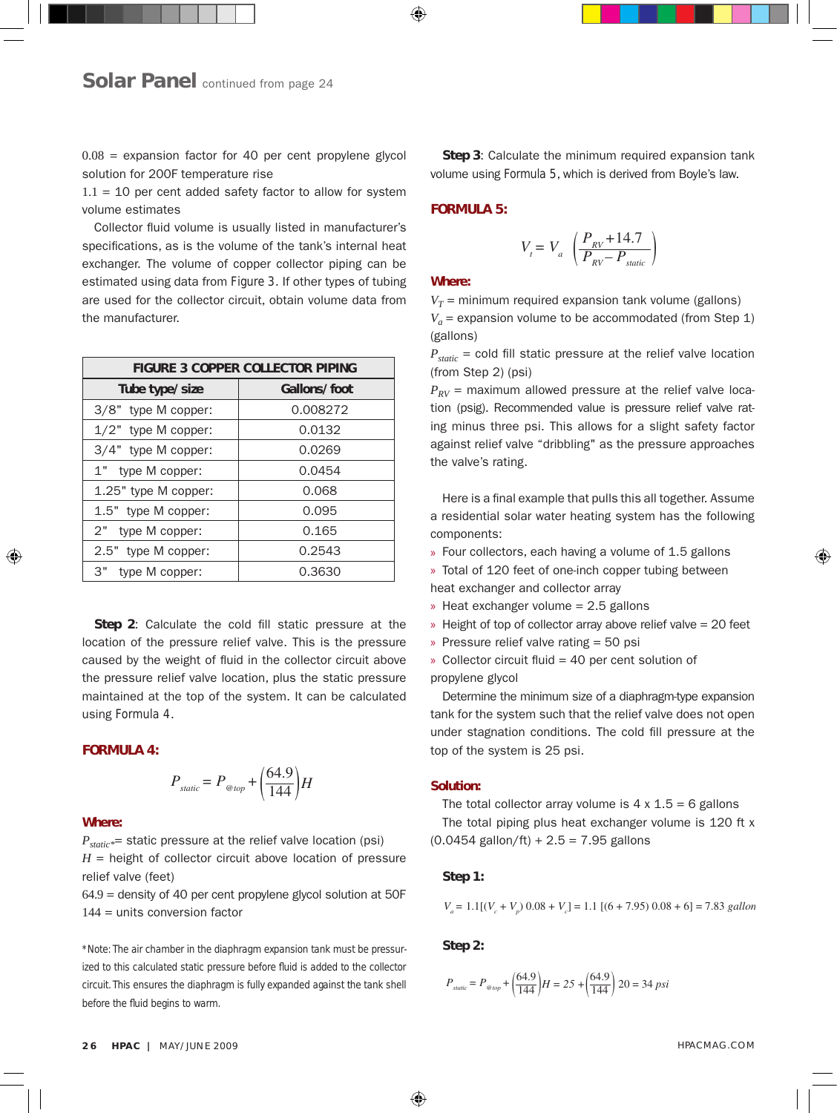$0.08$  = expansion factor for 40 per cent propylene glycol solution for 200F temperature rise

 $1.1 = 10$  per cent added safety factor to allow for system volume estimates

Collector fluid volume is usually listed in manufacturer's specifications, as is the volume of the tank's internal heat exchanger. The volume of copper collector piping can be estimated using data from *Figure 3*. If other types of tubing are used for the collector circuit, obtain volume data from the manufacturer.

| <b>FIGURE 3 COPPER COLLECTOR PIPING</b> |              |
|-----------------------------------------|--------------|
| Tube type/size                          | Gallons/foot |
| 3/8" type M copper:                     | 0.008272     |
| $1/2"$ type M copper:                   | 0.0132       |
| 3/4" type M copper:                     | 0.0269       |
| 1" type M copper:                       | 0.0454       |
| 1.25" type M copper:                    | 0.068        |
| 1.5" type M copper:                     | 0.095        |
| 2" type M copper:                       | 0.165        |
| 2.5" type M copper:                     | 0.2543       |
| 3"<br>type M copper:                    | 0.3630       |

Step 2: Calculate the cold fill static pressure at the<br>**Pation of the pressure relief valve**. This is the pressure location of the pressure relief valve. This is the pressure caused by the weight of fluid in the collector circuit above the pressure relief valve location, plus the static pressure<br>maintained at the top of the system. It can be calculated are pressure rener vaive location, plus the static pressure<br>maintained at the top of the system. It can be calculated using *Formula 4*.

#### FORmULa 4:

$$
P_{static} = P_{\text{otop}} + \left(\frac{64.9}{144}\right)H
$$

#### Where:

] = 1.1 [(6 + 7.95) 0.08 + 6] = 7.83 *gallons P<sub>static\*</sub>=* static pressure at the relief valve location (psi)<br>*P<sub>static</sub>\*=* static pressure at the relief valve location (psi)  $H =$  height of collector circuit above location of pressure relief valve (feet)

тепет varve (reet*)*<br>64.9 = density of 40 per cent propylene glycol solution at 50F 144 = units conversion factor

144 *<sup>+</sup>*( ( 64.9 ( 144 ( *<sup>H</sup> <sup>=</sup> <sup>25</sup> <sup>+</sup> \*Note: The air chamber in the diaphragm expansion tank must be pressur-*47*\** + 14.7 *ized to this calculated static pressure before fluid is added to the collector*  $P_{\text{static}}$  pressure before fiuld is added to the collector<br>the diaphragm is fully expanded against the tank shell<br>ns to warm *circuit. This ensures the diaphragm is fully expanded against the tank shell before the fluid begins to warm.*

**Step 3**: Calculate the minimum required expansion tank volume using *Formula 5*, which is derived from Boyle's law.

#### FORmULa 5:

$$
V_t = V_a \left( \frac{P_{RV} + 14.7}{P_{RV} - P_{static}} \right)
$$

#### Where:

 $V_T$  = minimum required expansion tank volume (gallons)  $\stackrel{\text{(gallons)}}{P}_{static} = \text{cold fill static pressure at the relief valve location}$  $V_a$  = expansion volume to be accommodated (from Step 1) (gallons)

(from Step 2) (psi)

 $P_{RV}$  = maximum allowed pressure at the relief valve loca-<br>*Price (poid)* Pessamended valve is pressure relief valve ret  $P_{RV}$  = maximum allowed pressure at the relief valve location (psig). Recommended value is pressure relief valve rating minus three psi. This allows for a slight safety factor against relief valve "dribbling" as the pressure approaches the valve's rating.

Here is a final example that pulls this all together. Assume a residential solar water heating system has the following components:

Four collectors, each having a volume of 1.5 gallons »

A *F bur collectors, each having a volume of 1.5 gallons*<br>
2630 **burned by Total of 120 feet of one-inch copper tubing between** heat exchanger and collector array

- » Heat exchanger volume = 2.5 gallons
- **Property of top of collector array above relief valve = 20 feet**<br>• Property relief valve rating = 50 psi
- » Pressure relief valve rating = 50 psi

20 = 41 *psi* propylene glycol *P@PRV= P@top P@PRV= P@top* <sup>144</sup> *<sup>+</sup>*( ( » Collector circuit fluid = 40 per cent solution of<br>propylene glycol

Determine the minimum size of a diaphragm-type expansion tank for the system such that the relief valve does not open under stagnation conditions. The cold fill pressure at the top of the system is 25 psi.<br>———————————————————— *P@top= PPRVrated P@top= PPRVrated*

#### Solution:

*x*<br>The total collector array volume is 4 x 1.5 = 6 gallons The total piping plus heat exchanger volume is 120 ft x Ine total piping plus heat exchanger<br>(0.0454 gallon/ft) + 2.5 = 7.95 gallons Fhe total collector array volume is 4 x 1.5

### Step 1:

$$
V_a = 1.1[(V_c + V_p) 0.08 + V_c] = 1.1 [(6 + 7.95) 0.08 + 6] = 7.83 \text{ gallon}
$$

*Step 2:* 

$$
P_{\text{\tiny static}} = P_{\text{\tiny{@top}}} + \left(\frac{64.9}{144}\right)H = 25 + \left(\frac{64.9}{144}\right)20 = 34\,\,psi
$$